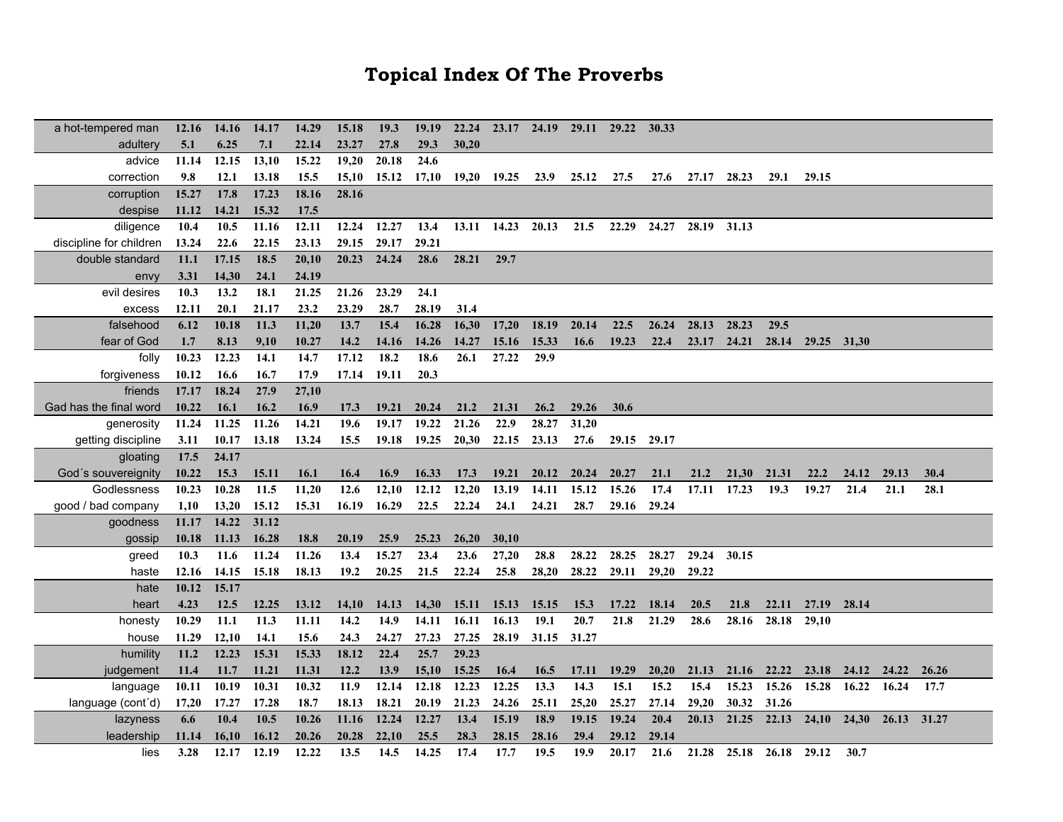## **Topical Index Of The Proverbs**

| a hot-tempered man      | 12.16 | <b>14.16</b> | 14.17 | 14.29 | 15.18 | 19.3        | 19.19 | 22.24 |                   | 23.17 24.19 | 29.11 29.22 |       | 30.33       |       |                         |       |                         |       |       |       |
|-------------------------|-------|--------------|-------|-------|-------|-------------|-------|-------|-------------------|-------------|-------------|-------|-------------|-------|-------------------------|-------|-------------------------|-------|-------|-------|
| adultery                | 5.1   | 6.25         | 7.1   | 22.14 | 23.27 | 27.8        | 29.3  | 30,20 |                   |             |             |       |             |       |                         |       |                         |       |       |       |
| advice                  | 11.14 | 12.15        | 13,10 | 15.22 | 19,20 | 20.18       | 24.6  |       |                   |             |             |       |             |       |                         |       |                         |       |       |       |
| correction              | 9.8   | 12.1         | 13.18 | 15.5  | 15,10 | 15.12       | 17,10 | 19,20 | 19.25 23.9        |             | 25.12       | 27.5  | 27.6        | 27.17 | 28.23                   | 29.1  | 29.15                   |       |       |       |
| corruption              | 15.27 | 17.8         | 17.23 | 18.16 | 28.16 |             |       |       |                   |             |             |       |             |       |                         |       |                         |       |       |       |
| despise                 | 11.12 | 14.21        | 15.32 | 17.5  |       |             |       |       |                   |             |             |       |             |       |                         |       |                         |       |       |       |
| diligence               | 10.4  | 10.5         | 11.16 | 12.11 | 12.24 | 12.27       | 13.4  |       | 13.11 14.23 20.13 |             | 21.5        | 22.29 | 24.27       | 28.19 | 31.13                   |       |                         |       |       |       |
| discipline for children | 13.24 | 22.6         | 22.15 | 23.13 | 29.15 | 29.17       | 29.21 |       |                   |             |             |       |             |       |                         |       |                         |       |       |       |
| double standard         | 11.1  | 17.15        | 18.5  | 20,10 | 20.23 | 24.24       | 28.6  | 28.21 | 29.7              |             |             |       |             |       |                         |       |                         |       |       |       |
| envy                    | 3.31  | 14,30        | 24.1  | 24.19 |       |             |       |       |                   |             |             |       |             |       |                         |       |                         |       |       |       |
| evil desires            | 10.3  | 13.2         | 18.1  | 21.25 | 21.26 | 23.29       | 24.1  |       |                   |             |             |       |             |       |                         |       |                         |       |       |       |
| excess                  | 12.11 | 20.1         | 21.17 | 23.2  | 23.29 | 28.7        | 28.19 | 31.4  |                   |             |             |       |             |       |                         |       |                         |       |       |       |
| falsehood               | 6.12  | 10.18        | 11.3  | 11,20 | 13.7  | 15.4        | 16.28 | 16,30 | 17,20             | 18.19       | 20.14       | 22.5  | 26.24       | 28.13 | 28.23                   | 29.5  |                         |       |       |       |
| fear of God             | 1.7   | 8.13         | 9,10  | 10.27 | 14.2  | 14.16       | 14.26 | 14.27 | 15.16             | 15.33       | 16.6        | 19.23 | 22.4        | 23.17 | 24.21                   | 28.14 | 29.25 31,30             |       |       |       |
| folly                   | 10.23 | 12.23        | 14.1  | 14.7  | 17.12 | 18.2        | 18.6  | 26.1  | 27.22             | 29.9        |             |       |             |       |                         |       |                         |       |       |       |
| forgiveness             | 10.12 | 16.6         | 16.7  | 17.9  | 17.14 | 19.11       | 20.3  |       |                   |             |             |       |             |       |                         |       |                         |       |       |       |
| friends                 | 17.17 | 18.24        | 27.9  | 27,10 |       |             |       |       |                   |             |             |       |             |       |                         |       |                         |       |       |       |
| Gad has the final word  | 10.22 | 16.1         | 16.2  | 16.9  | 17.3  | 19.21       | 20.24 | 21.2  | 21.31             | 26.2        | 29.26       | 30.6  |             |       |                         |       |                         |       |       |       |
| generosity              | 11.24 | 11.25        | 11.26 | 14.21 | 19.6  | 19.17       | 19.22 | 21.26 | 22.9              | 28.27       | 31,20       |       |             |       |                         |       |                         |       |       |       |
| getting discipline      | 3.11  | 10.17        | 13.18 | 13.24 | 15.5  | 19.18       | 19.25 | 20,30 | 22.15             | 23.13       | 27.6        |       | 29.15 29.17 |       |                         |       |                         |       |       |       |
| gloating                | 17.5  | 24.17        |       |       |       |             |       |       |                   |             |             |       |             |       |                         |       |                         |       |       |       |
| God's souvereignity     | 10.22 | 15.3         | 15.11 | 16.1  | 16.4  | <b>16.9</b> | 16.33 | 17.3  | 19.21             | 20.12       | 20.24       | 20.27 | 21.1        | 21.2  | 21,30                   | 21.31 | 22.2                    | 24.12 | 29.13 | 30.4  |
| Godlessness             | 10.23 | 10.28        | 11.5  | 11,20 | 12.6  | 12,10       | 12.12 | 12,20 | 13.19             | 14.11       | 15.12       | 15.26 | 17.4        | 17.11 | 17.23                   | 19.3  | 19.27                   | 21.4  | 21.1  | 28.1  |
| good / bad company      | 1,10  | 13,20        | 15.12 | 15.31 | 16.19 | 16.29       | 22.5  | 22.24 | 24.1              | 24.21       | 28.7        | 29.16 | 29.24       |       |                         |       |                         |       |       |       |
| goodness                | 11.17 | 14.22        | 31.12 |       |       |             |       |       |                   |             |             |       |             |       |                         |       |                         |       |       |       |
| gossip                  | 10.18 | 11.13        | 16.28 | 18.8  | 20.19 | <b>25.9</b> | 25.23 | 26,20 | 30,10             |             |             |       |             |       |                         |       |                         |       |       |       |
| greed                   | 10.3  | 11.6         | 11.24 | 11.26 | 13.4  | 15.27       | 23.4  | 23.6  | 27,20             | 28.8        | 28.22       | 28.25 | 28.27       | 29.24 | 30.15                   |       |                         |       |       |       |
| haste                   | 12.16 | 14.15        | 15.18 | 18.13 | 19.2  | 20.25       | 21.5  | 22.24 | 25.8              | 28,20       | 28.22       | 29.11 | 29,20       | 29.22 |                         |       |                         |       |       |       |
| hate                    | 10.12 | 15.17        |       |       |       |             |       |       |                   |             |             |       |             |       |                         |       |                         |       |       |       |
| heart                   | 4.23  | 12.5         | 12.25 | 13.12 | 14,10 | 14.13       | 14,30 | 15.11 | 15.13             | 15.15       | 15.3        | 17.22 | 18.14       | 20.5  | 21.8                    | 22.11 | 27.19                   | 28.14 |       |       |
| honesty                 | 10.29 | 11.1         | 11.3  | 11.11 | 14.2  | 14.9        | 14.11 | 16.11 | 16.13             | 19.1        | 20.7        | 21.8  | 21.29       | 28.6  | 28.16                   | 28.18 | 29,10                   |       |       |       |
| house                   | 11.29 | 12,10        | 14.1  | 15.6  | 24.3  | 24.27       | 27.23 | 27.25 | 28.19             | 31.15       | 31.27       |       |             |       |                         |       |                         |       |       |       |
| humility                | 11.2  | 12.23        | 15.31 | 15.33 | 18.12 | 22.4        | 25.7  | 29.23 |                   |             |             |       |             |       |                         |       |                         |       |       |       |
| judgement               | 11.4  | 11.7         | 11.21 | 11.31 | 12.2  | 13.9        | 15,10 | 15.25 | 16.4              | 16.5        | 17.11       | 19.29 | 20,20       | 21.13 | 21.16                   | 22.22 | 23.18                   | 24.12 | 24.22 | 26.26 |
| language                | 10.11 | 10.19        | 10.31 | 10.32 | 11.9  | 12.14       | 12.18 | 12.23 | 12.25             | 13.3        | 14.3        | 15.1  | 15.2        | 15.4  | 15.23                   | 15.26 | 15.28                   | 16.22 | 16.24 | 17.7  |
| language (cont'd)       | 17,20 | 17.27        | 17.28 | 18.7  | 18.13 | 18.21       | 20.19 | 21.23 | 24.26             | 25.11       | 25,20       | 25.27 | 27.14       | 29,20 | 30.32                   | 31.26 |                         |       |       |       |
| lazyness                | 6.6   | 10.4         | 10.5  | 10.26 | 11.16 | 12.24       | 12.27 | 13.4  | 15.19             | 18.9        | 19.15       | 19.24 | 20.4        | 20.13 | 21.25                   | 22.13 | 24,10 24,30 26.13 31.27 |       |       |       |
| leadership              | 11.14 | 16,10        | 16.12 | 20.26 | 20.28 | 22,10       | 25.5  | 28.3  | 28.15             | 28.16       | 29.4        | 29.12 | 29.14       |       |                         |       |                         |       |       |       |
| lies                    | 3.28  | 12.17        | 12.19 | 12.22 | 13.5  | 14.5        | 14.25 | 17.4  | 17.7              | 19.5        | 19.9        | 20.17 | 21.6        |       | 21.28 25.18 26.18 29.12 |       |                         | 30.7  |       |       |